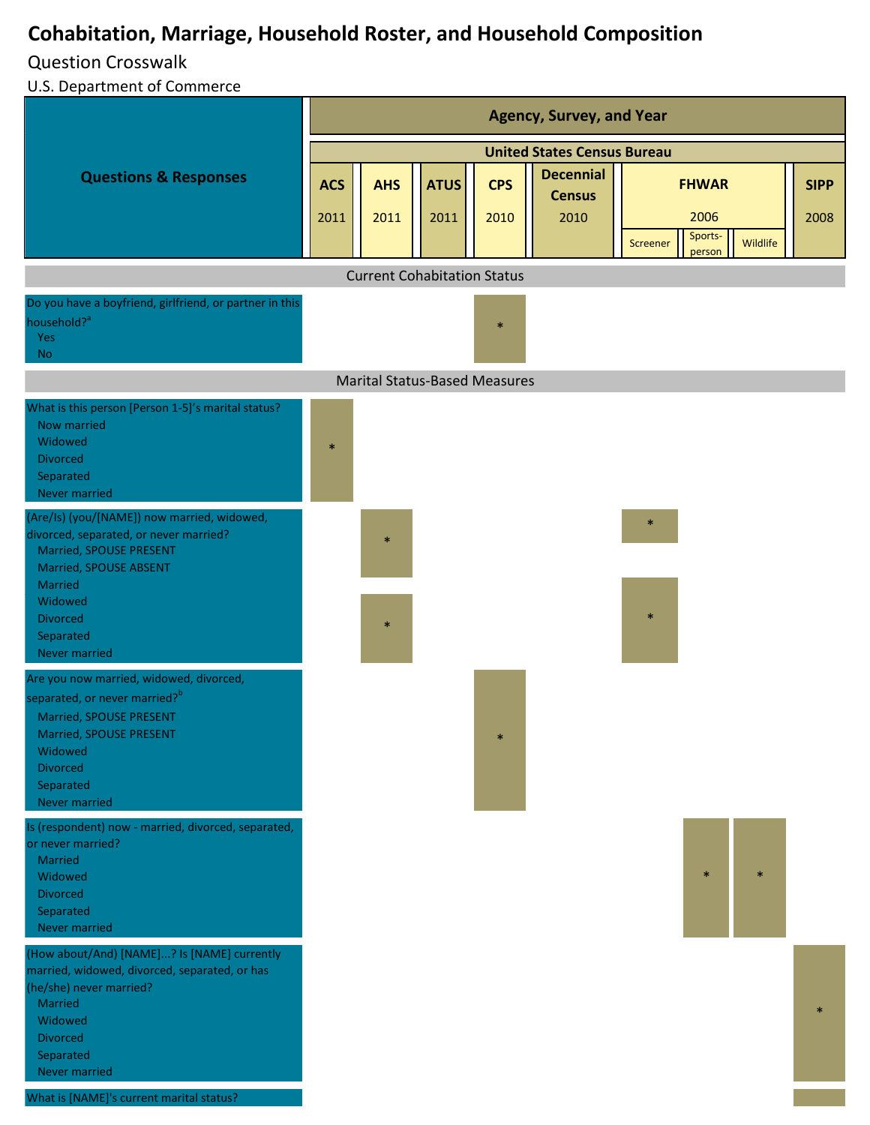# **Cohabitation, Marriage, Household Roster, and Household Composition**

## Question Crosswalk

U.S. Department of Commerce

|                                                                                                                                                                                                                                                               | <b>Agency, Survey, and Year</b>    |                                      |                     |                    |                                           |                               |          |                     |  |
|---------------------------------------------------------------------------------------------------------------------------------------------------------------------------------------------------------------------------------------------------------------|------------------------------------|--------------------------------------|---------------------|--------------------|-------------------------------------------|-------------------------------|----------|---------------------|--|
|                                                                                                                                                                                                                                                               | <b>United States Census Bureau</b> |                                      |                     |                    |                                           |                               |          |                     |  |
| <b>Questions &amp; Responses</b>                                                                                                                                                                                                                              | <b>ACS</b><br>2011                 | <b>AHS</b><br>2011                   | <b>ATUS</b><br>2011 | <b>CPS</b><br>2010 | <b>Decennial</b><br><b>Census</b><br>2010 | <b>FHWAR</b><br>2006          |          | <b>SIPP</b><br>2008 |  |
|                                                                                                                                                                                                                                                               |                                    |                                      |                     |                    |                                           | Sports-<br>Screener<br>person | Wildlife |                     |  |
|                                                                                                                                                                                                                                                               |                                    | <b>Current Cohabitation Status</b>   |                     |                    |                                           |                               |          |                     |  |
| Do you have a boyfriend, girlfriend, or partner in this<br>household? <sup>a</sup><br><b>Yes</b><br><b>No</b>                                                                                                                                                 |                                    |                                      |                     | $\ast$             |                                           |                               |          |                     |  |
|                                                                                                                                                                                                                                                               |                                    | <b>Marital Status-Based Measures</b> |                     |                    |                                           |                               |          |                     |  |
| What is this person [Person 1-5]'s marital status?<br>Now married<br>Widowed<br><b>Divorced</b><br>Separated<br>Never married                                                                                                                                 | $\ast$                             |                                      |                     |                    |                                           |                               |          |                     |  |
| (Are/Is) (you/[NAME]) now married, widowed,<br>divorced, separated, or never married?<br>Married, SPOUSE PRESENT<br>Married, SPOUSE ABSENT<br>Married<br>Widowed<br><b>Divorced</b><br>Separated<br>Never married                                             |                                    | $\ast$<br>$\ast$                     |                     |                    |                                           | $\ast$<br>$\ast$              |          |                     |  |
| Are you now married, widowed, divorced,<br>separated, or never married? <sup>b</sup><br>Married, SPOUSE PRESENT<br>Married, SPOUSE PRESENT<br>Widowed<br><b>Divorced</b><br>Separated<br>Never married<br>Is (respondent) now - married, divorced, separated, |                                    |                                      |                     | $\ast$             |                                           |                               |          |                     |  |
| or never married?<br>Married<br>Widowed<br><b>Divorced</b><br>Separated<br>Never married                                                                                                                                                                      |                                    |                                      |                     |                    |                                           | $\ast$                        | $\ast$   |                     |  |
| (How about/And) [NAME]? Is [NAME] currently<br>married, widowed, divorced, separated, or has<br>(he/she) never married?<br>Married<br>Widowed<br><b>Divorced</b><br>Separated<br>Never married<br>What is [NAME]'s current marital status?                    |                                    |                                      |                     |                    |                                           |                               |          | $\mathbf{x}$        |  |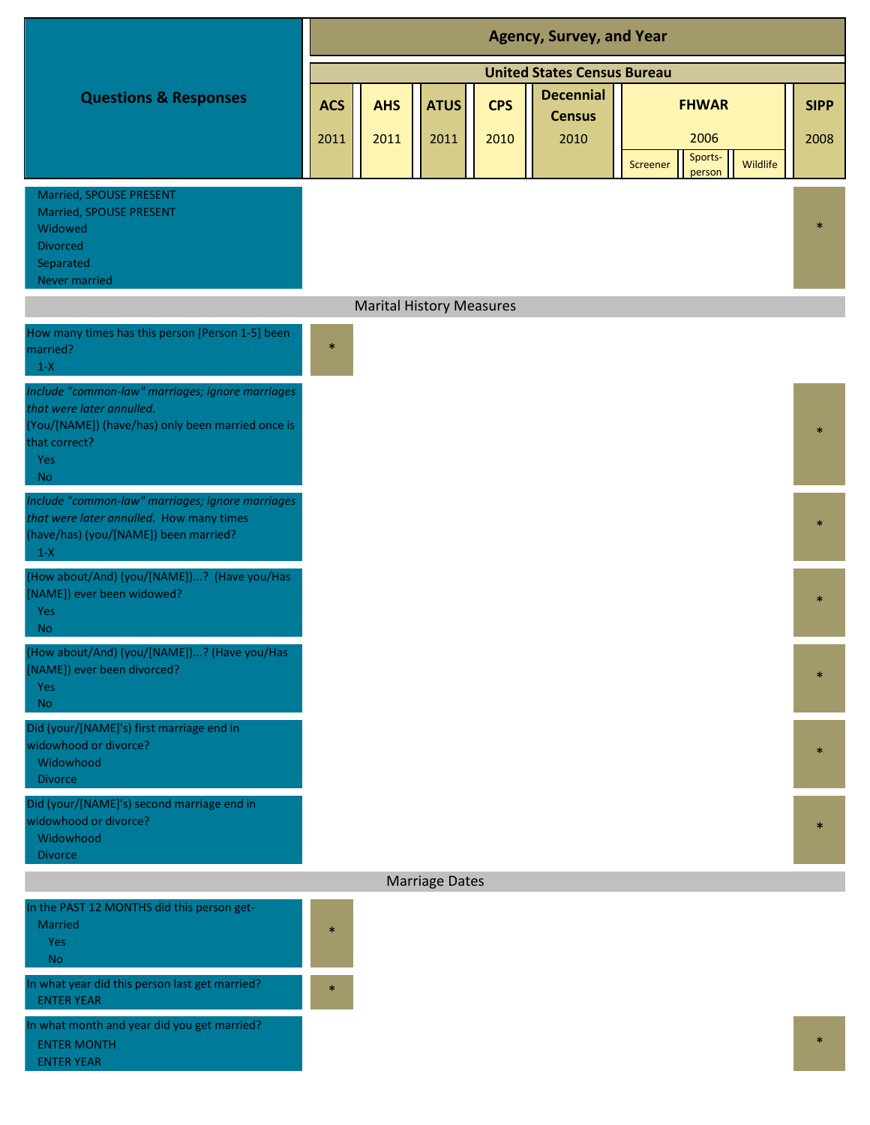|                                                                                                                                                                         | <b>Agency, Survey, and Year</b>    |            |                                 |            |                  |                                                          |             |  |  |  |  |
|-------------------------------------------------------------------------------------------------------------------------------------------------------------------------|------------------------------------|------------|---------------------------------|------------|------------------|----------------------------------------------------------|-------------|--|--|--|--|
|                                                                                                                                                                         | <b>United States Census Bureau</b> |            |                                 |            |                  |                                                          |             |  |  |  |  |
| <b>Questions &amp; Responses</b>                                                                                                                                        | <b>ACS</b>                         | <b>AHS</b> | <b>ATUS</b>                     | <b>CPS</b> | <b>Decennial</b> | <b>FHWAR</b>                                             | <b>SIPP</b> |  |  |  |  |
|                                                                                                                                                                         |                                    |            |                                 |            | <b>Census</b>    |                                                          |             |  |  |  |  |
|                                                                                                                                                                         | 2011                               | 2011       | 2011                            | 2010       | 2010             | 2006<br>Sports-<br>Wildlife<br><b>Screener</b><br>person | 2008        |  |  |  |  |
| Married, SPOUSE PRESENT<br>Married, SPOUSE PRESENT<br>Widowed<br><b>Divorced</b><br>Separated<br>Never married                                                          |                                    |            |                                 |            |                  |                                                          | $\ast$      |  |  |  |  |
|                                                                                                                                                                         |                                    |            | <b>Marital History Measures</b> |            |                  |                                                          |             |  |  |  |  |
| How many times has this person [Person 1-5] been<br>married?<br>$1-X$                                                                                                   | $\ast$                             |            |                                 |            |                  |                                                          |             |  |  |  |  |
| Include "common-law" marriages; ignore marriages<br>that were later annulled.<br>(You/[NAME]) (have/has) only been married once is<br>that correct?<br>Yes<br><b>No</b> |                                    |            |                                 |            |                  |                                                          |             |  |  |  |  |
| Include "common-law" marriages; ignore marriages<br>that were later annulled. How many times<br>(have/has) (you/[NAME]) been married?<br>$1-X$                          |                                    |            |                                 |            |                  |                                                          | $\ast$      |  |  |  |  |
| (How about/And) (you/[NAME])? (Have you/Has<br>[NAME]) ever been widowed?<br>Yes<br><b>No</b>                                                                           |                                    |            |                                 |            |                  |                                                          |             |  |  |  |  |
| (How about/And) (you/[NAME])? (Have you/Has<br>[NAME]) ever been divorced?<br>Yes<br><b>No</b>                                                                          |                                    |            |                                 |            |                  |                                                          | $\ast$      |  |  |  |  |
| Did (your/[NAME]'s) first marriage end in<br>widowhood or divorce?<br>Widowhood<br><b>Divorce</b>                                                                       |                                    |            |                                 |            |                  |                                                          | $\ast$      |  |  |  |  |
| Did (your/[NAME]'s) second marriage end in<br>widowhood or divorce?<br>Widowhood<br><b>Divorce</b>                                                                      |                                    |            |                                 |            |                  |                                                          | $\ast$      |  |  |  |  |
|                                                                                                                                                                         |                                    |            | <b>Marriage Dates</b>           |            |                  |                                                          |             |  |  |  |  |
| In the PAST 12 MONTHS did this person get-<br><b>Married</b><br>Yes<br><b>No</b>                                                                                        | $\ast$                             |            |                                 |            |                  |                                                          |             |  |  |  |  |
| In what year did this person last get married?<br><b>ENTER YEAR</b>                                                                                                     | $\ast$                             |            |                                 |            |                  |                                                          |             |  |  |  |  |
| In what month and year did you get married?<br><b>ENTER MONTH</b><br><b>ENTER YEAR</b>                                                                                  |                                    |            |                                 |            |                  |                                                          | $\ast$      |  |  |  |  |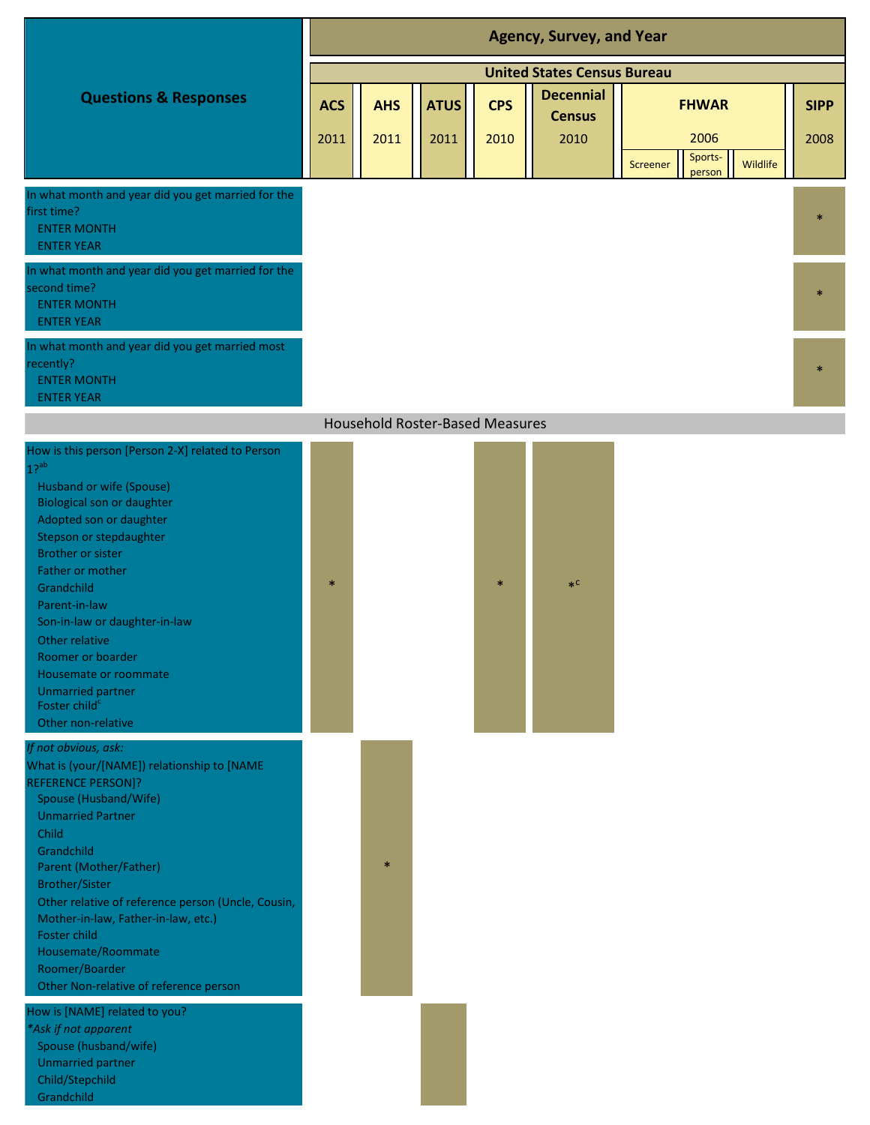|                                                                                                               | <b>Agency, Survey, and Year</b>    |                                                                                              |      |      |      |          |                                       |              |  |  |  |
|---------------------------------------------------------------------------------------------------------------|------------------------------------|----------------------------------------------------------------------------------------------|------|------|------|----------|---------------------------------------|--------------|--|--|--|
|                                                                                                               | <b>United States Census Bureau</b> |                                                                                              |      |      |      |          |                                       |              |  |  |  |
| <b>Questions &amp; Responses</b>                                                                              | <b>ACS</b>                         | <b>Decennial</b><br><b>CPS</b><br><b>FHWAR</b><br><b>AHS</b><br><b>ATUS</b><br><b>Census</b> |      |      |      |          |                                       |              |  |  |  |
|                                                                                                               | 2011                               | 2011                                                                                         | 2011 | 2010 | 2010 | Screener | 2006<br>Sports-<br>Wildlife<br>person | 2008         |  |  |  |
| In what month and year did you get married for the<br>first time?<br><b>ENTER MONTH</b><br><b>ENTER YEAR</b>  |                                    |                                                                                              |      |      |      |          |                                       | $\ast$       |  |  |  |
| In what month and year did you get married for the<br>second time?<br><b>ENTER MONTH</b><br><b>ENTER YEAR</b> |                                    |                                                                                              |      |      |      |          |                                       | $\star$      |  |  |  |
| In what month and year did you get married most<br>recently?<br><b>ENTER MONTH</b><br><b>ENTER YEAR</b>       |                                    |                                                                                              |      |      |      |          |                                       | $\mathbf{x}$ |  |  |  |
|                                                                                                               |                                    | <b>Household Roster-Based Measures</b>                                                       |      |      |      |          |                                       |              |  |  |  |
| Lleur is this person. Depend 2 M peleted to Dep                                                               |                                    |                                                                                              |      |      |      |          |                                       |              |  |  |  |

### Husband or wife (Spouse) Biological son or daughter Adopted son or daughter Stepson or stepdaughter Brother or sister Father or mother **Grandchild** Parent-in-law Son-in-law or daughter-in-law Other relative Roomer or boarder Housemate or roommate Unmarried partner Foster child<sup>c</sup> Other non-relative How is this person [Person 2-X] related to Person

## *If not obvious, ask:*

 $1?$ <sup>ab</sup>

Spouse (Husband/Wife) Unmarried Partner Child **Grandchild** Parent (Mother/Father) Brother/Sister Foster child Housemate/Roommate Roomer/Boarder Other Non-relative of reference person What is (your/[NAME]) relationship to [NAME REFERENCE PERSON]? Other relative of reference person (Uncle, Cousin, Mother-in-law, Father-in-law, etc.)

How is [NAME] related to you? *\*Ask if not apparent* Spouse (husband/wife) Unmarried partner Child/Stepchild Grandchild



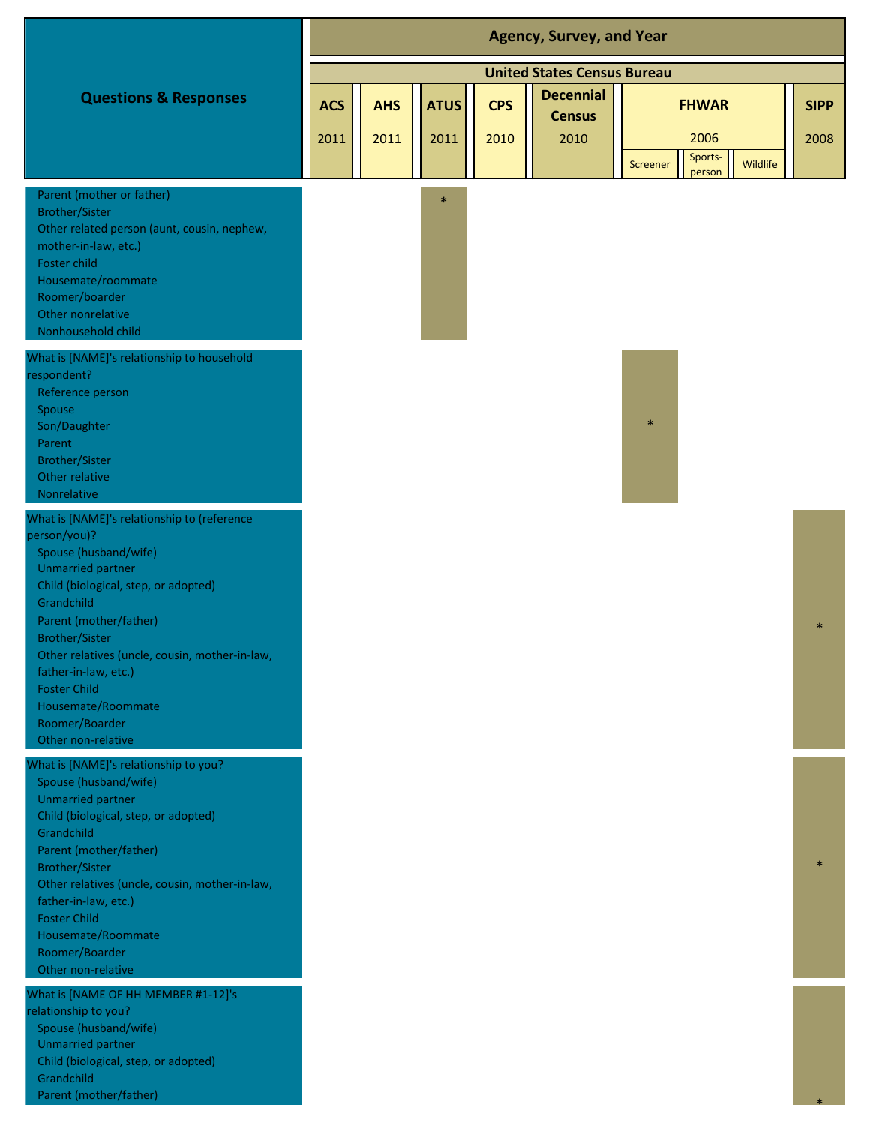|                                                                                                                                                                                                                                                                                                                                                                                          | <b>Agency, Survey, and Year</b> |                    |                     |                    |                                           |                                                                   |                     |  |  |  |
|------------------------------------------------------------------------------------------------------------------------------------------------------------------------------------------------------------------------------------------------------------------------------------------------------------------------------------------------------------------------------------------|---------------------------------|--------------------|---------------------|--------------------|-------------------------------------------|-------------------------------------------------------------------|---------------------|--|--|--|
|                                                                                                                                                                                                                                                                                                                                                                                          |                                 |                    |                     |                    | <b>United States Census Bureau</b>        |                                                                   |                     |  |  |  |
| <b>Questions &amp; Responses</b>                                                                                                                                                                                                                                                                                                                                                         | <b>ACS</b><br>2011              | <b>AHS</b><br>2011 | <b>ATUS</b><br>2011 | <b>CPS</b><br>2010 | <b>Decennial</b><br><b>Census</b><br>2010 | <b>FHWAR</b><br>2006<br>Sports-<br>Wildlife<br>Screener<br>person | <b>SIPP</b><br>2008 |  |  |  |
| Parent (mother or father)<br><b>Brother/Sister</b><br>Other related person (aunt, cousin, nephew,<br>mother-in-law, etc.)<br>Foster child<br>Housemate/roommate<br>Roomer/boarder<br>Other nonrelative<br>Nonhousehold child                                                                                                                                                             |                                 |                    | $\ast$              |                    |                                           |                                                                   |                     |  |  |  |
| What is [NAME]'s relationship to household<br>respondent?<br>Reference person<br>Spouse<br>Son/Daughter<br>Parent<br><b>Brother/Sister</b><br>Other relative<br>Nonrelative                                                                                                                                                                                                              |                                 |                    |                     |                    |                                           | $\ast$                                                            |                     |  |  |  |
| What is [NAME]'s relationship to (reference<br>person/you)?<br>Spouse (husband/wife)<br><b>Unmarried partner</b><br>Child (biological, step, or adopted)<br>Grandchild<br>Parent (mother/father)<br><b>Brother/Sister</b><br>Other relatives (uncle, cousin, mother-in-law,<br>father-in-law, etc.)<br><b>Foster Child</b><br>Housemate/Roommate<br>Roomer/Boarder<br>Other non-relative |                                 |                    |                     |                    |                                           |                                                                   |                     |  |  |  |
| What is [NAME]'s relationship to you?<br>Spouse (husband/wife)<br><b>Unmarried partner</b><br>Child (biological, step, or adopted)<br>Grandchild<br>Parent (mother/father)<br><b>Brother/Sister</b><br>Other relatives (uncle, cousin, mother-in-law,<br>father-in-law, etc.)<br><b>Foster Child</b><br>Housemate/Roommate<br>Roomer/Boarder<br>Other non-relative                       |                                 |                    |                     |                    |                                           |                                                                   |                     |  |  |  |
| What is [NAME OF HH MEMBER #1-12]'s<br>relationship to you?<br>Spouse (husband/wife)<br><b>Unmarried partner</b><br>Child (biological, step, or adopted)<br>Grandchild                                                                                                                                                                                                                   |                                 |                    |                     |                    |                                           |                                                                   |                     |  |  |  |

\*

Parent (mother/father)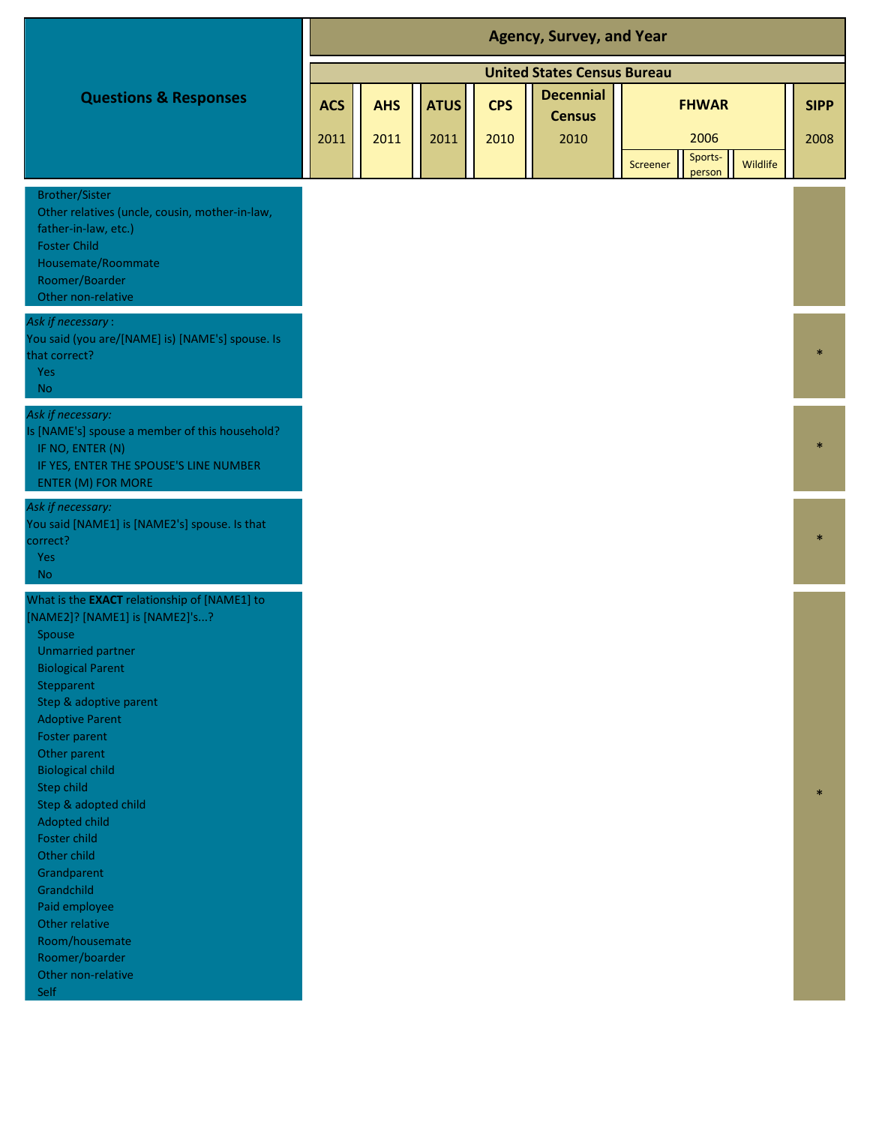|                                                                                                                                                                                                                                                                                                                                                                                                                                                                                                        | <b>Agency, Survey, and Year</b> |            |             |            |                                    |                                                  |               |  |  |  |
|--------------------------------------------------------------------------------------------------------------------------------------------------------------------------------------------------------------------------------------------------------------------------------------------------------------------------------------------------------------------------------------------------------------------------------------------------------------------------------------------------------|---------------------------------|------------|-------------|------------|------------------------------------|--------------------------------------------------|---------------|--|--|--|
|                                                                                                                                                                                                                                                                                                                                                                                                                                                                                                        |                                 |            |             |            | <b>United States Census Bureau</b> |                                                  |               |  |  |  |
| <b>Questions &amp; Responses</b>                                                                                                                                                                                                                                                                                                                                                                                                                                                                       |                                 | <b>AHS</b> | <b>ATUS</b> | <b>CPS</b> | <b>Decennial</b>                   | <b>FHWAR</b>                                     |               |  |  |  |
|                                                                                                                                                                                                                                                                                                                                                                                                                                                                                                        | <b>ACS</b>                      |            |             |            | <b>Census</b>                      |                                                  | <b>SIPP</b>   |  |  |  |
|                                                                                                                                                                                                                                                                                                                                                                                                                                                                                                        | 2011                            | 2011       | 2011        | 2010       | 2010                               | 2006                                             | 2008          |  |  |  |
|                                                                                                                                                                                                                                                                                                                                                                                                                                                                                                        |                                 |            |             |            |                                    | Sports-<br>Wildlife<br><b>Screener</b><br>person |               |  |  |  |
| <b>Brother/Sister</b><br>Other relatives (uncle, cousin, mother-in-law,<br>father-in-law, etc.)<br><b>Foster Child</b><br>Housemate/Roommate<br>Roomer/Boarder<br>Other non-relative                                                                                                                                                                                                                                                                                                                   |                                 |            |             |            |                                    |                                                  |               |  |  |  |
| Ask if necessary:<br>You said (you are/[NAME] is) [NAME's] spouse. Is<br>that correct?<br>Yes<br><b>No</b>                                                                                                                                                                                                                                                                                                                                                                                             |                                 |            |             |            |                                    |                                                  |               |  |  |  |
| Ask if necessary:<br>Is [NAME's] spouse a member of this household?<br>IF NO, ENTER (N)<br>IF YES, ENTER THE SPOUSE'S LINE NUMBER<br>ENTER (M) FOR MORE                                                                                                                                                                                                                                                                                                                                                |                                 |            |             |            |                                    |                                                  |               |  |  |  |
| Ask if necessary:<br>You said [NAME1] is [NAME2's] spouse. Is that<br>correct?<br>Yes<br><b>No</b>                                                                                                                                                                                                                                                                                                                                                                                                     |                                 |            |             |            |                                    |                                                  | $\frac{1}{2}$ |  |  |  |
| What is the <b>EXACT</b> relationship of [NAME1] to<br>[NAME2]? [NAME1] is [NAME2]'s?<br>Spouse<br>Unmarried partner<br><b>Biological Parent</b><br>Stepparent<br>Step & adoptive parent<br><b>Adoptive Parent</b><br>Foster parent<br>Other parent<br><b>Biological child</b><br>Step child<br>Step & adopted child<br>Adopted child<br>Foster child<br>Other child<br>Grandparent<br>Grandchild<br>Paid employee<br>Other relative<br>Room/housemate<br>Roomer/boarder<br>Other non-relative<br>Self |                                 |            |             |            |                                    |                                                  | $\ast$        |  |  |  |